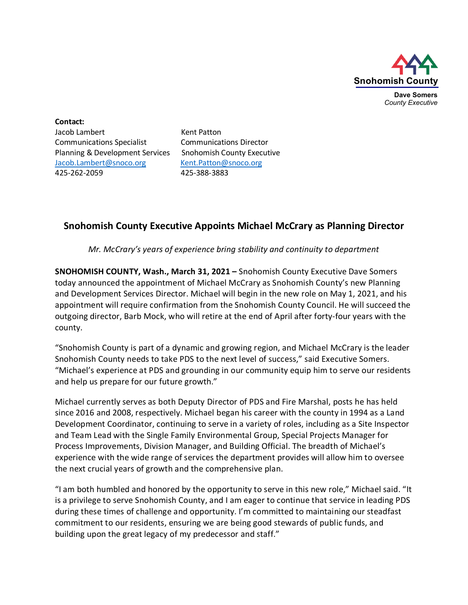

**Dave Somers** *County Executive*

**Contact:** Jacob Lambert Kent Patton Communications Specialist Communications Director Planning & Development Services Snohomish County Executive [Jacob.Lambert@snoco.org](mailto:Jacob.Lambert@snoco.org) [Kent.Patton@snoco.org](mailto:Kent.Patton@snoco.org) 425-262-2059 425-388-3883

## **Snohomish County Executive Appoints Michael McCrary as Planning Director**

*Mr. McCrary's years of experience bring stability and continuity to department*

**SNOHOMISH COUNTY, Wash., March 31, 2021 –** Snohomish County Executive Dave Somers today announced the appointment of Michael McCrary as Snohomish County's new Planning and Development Services Director. Michael will begin in the new role on May 1, 2021, and his appointment will require confirmation from the Snohomish County Council. He will succeed the outgoing director, Barb Mock, who will retire at the end of April after forty-four years with the county.

"Snohomish County is part of a dynamic and growing region, and Michael McCrary is the leader Snohomish County needs to take PDS to the next level of success," said Executive Somers. "Michael's experience at PDS and grounding in our community equip him to serve our residents and help us prepare for our future growth."

Michael currently serves as both Deputy Director of PDS and Fire Marshal, posts he has held since 2016 and 2008, respectively. Michael began his career with the county in 1994 as a Land Development Coordinator, continuing to serve in a variety of roles, including as a Site Inspector and Team Lead with the Single Family Environmental Group, Special Projects Manager for Process Improvements, Division Manager, and Building Official. The breadth of Michael's experience with the wide range of services the department provides will allow him to oversee the next crucial years of growth and the comprehensive plan.

"I am both humbled and honored by the opportunity to serve in this new role," Michael said. "It is a privilege to serve Snohomish County, and I am eager to continue that service in leading PDS during these times of challenge and opportunity. I'm committed to maintaining our steadfast commitment to our residents, ensuring we are being good stewards of public funds, and building upon the great legacy of my predecessor and staff."